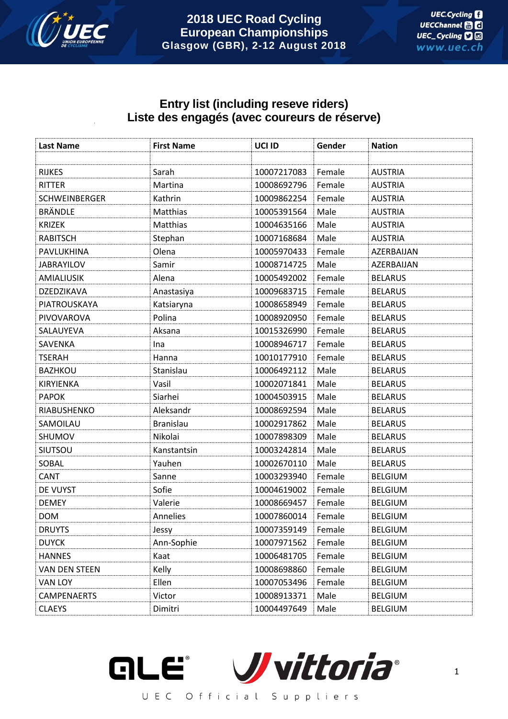

# **Entry list (including reseve riders) Liste des engagés (avec coureurs de réserve)**

| <b>Last Name</b>     | <b>First Name</b> | UCI ID      | Gender | <b>Nation</b>  |
|----------------------|-------------------|-------------|--------|----------------|
|                      |                   |             |        |                |
| <b>RIJKES</b>        | Sarah             | 10007217083 | Female | <b>AUSTRIA</b> |
| RITTER               | Martina           | 10008692796 | Female | <b>AUSTRIA</b> |
| <b>SCHWEINBERGER</b> | Kathrin           | 10009862254 | Female | <b>AUSTRIA</b> |
| <b>BRÄNDLE</b>       | Matthias          | 10005391564 | Male   | <b>AUSTRIA</b> |
| <b>KRIZEK</b>        | Matthias          | 10004635166 | Male   | <b>AUSTRIA</b> |
| <b>RABITSCH</b>      | Stephan           | 10007168684 | Male   | <b>AUSTRIA</b> |
| PAVLUKHINA           | Olena             | 10005970433 | Female | AZERBAIJAN     |
| <b>JABRAYILOV</b>    | Samir             | 10008714725 | Male   | AZERBAIJAN     |
| <b>AMIALIUSIK</b>    | Alena             | 10005492002 | Female | <b>BELARUS</b> |
| DZEDZIKAVA           | Anastasiya        | 10009683715 | Female | <b>BELARUS</b> |
| PIATROUSKAYA         | Katsiaryna        | 10008658949 | Female | <b>BELARUS</b> |
| PIVOVAROVA           | Polina            | 10008920950 | Female | <b>BELARUS</b> |
| SALAUYEVA            | Aksana            | 10015326990 | Female | <b>BELARUS</b> |
| SAVENKA              | Ina               | 10008946717 | Female | <b>BELARUS</b> |
| <b>TSERAH</b>        | Hanna             | 10010177910 | Female | <b>BELARUS</b> |
| <b>BAZHKOU</b>       | Stanislau         | 10006492112 | Male   | <b>BELARUS</b> |
| KIRYIENKA            | Vasil             | 10002071841 | Male   | <b>BELARUS</b> |
| <b>PAPOK</b>         | Siarhei           | 10004503915 | Male   | <b>BELARUS</b> |
| RIABUSHENKO          | Aleksandr         | 10008692594 | Male   | <b>BELARUS</b> |
| SAMOILAU             | <b>Branislau</b>  | 10002917862 | Male   | <b>BELARUS</b> |
| SHUMOV               | Nikolai           | 10007898309 | Male   | <b>BELARUS</b> |
| SIUTSOU              | Kanstantsin       | 10003242814 | Male   | <b>BELARUS</b> |
| SOBAL                | Yauhen            | 10002670110 | Male   | <b>BELARUS</b> |
| <b>CANT</b>          | Sanne             | 10003293940 | Female | <b>BELGIUM</b> |
| DE VUYST             | Sofie             | 10004619002 | Female | <b>BELGIUM</b> |
| <b>DEMEY</b>         | Valerie           | 10008669457 | Female | <b>BELGIUM</b> |
| <b>DOM</b>           | Annelies          | 10007860014 | Female | <b>BELGIUM</b> |
| <b>DRUYTS</b>        | Jessy             | 10007359149 | Female | <b>BELGIUM</b> |
| <b>DUYCK</b>         | Ann-Sophie        | 10007971562 | Female | <b>BELGIUM</b> |
| <b>HANNES</b>        | Kaat              | 10006481705 | Female | <b>BELGIUM</b> |
| VAN DEN STEEN        | Kelly             | 10008698860 | Female | <b>BELGIUM</b> |
| VAN LOY              | Ellen             | 10007053496 | Female | <b>BELGIUM</b> |
| <b>CAMPENAERTS</b>   | Victor            | 10008913371 | Male   | <b>BELGIUM</b> |
| <b>CLAEYS</b>        | Dimitri           | 10004497649 | Male   | <b>BELGIUM</b> |

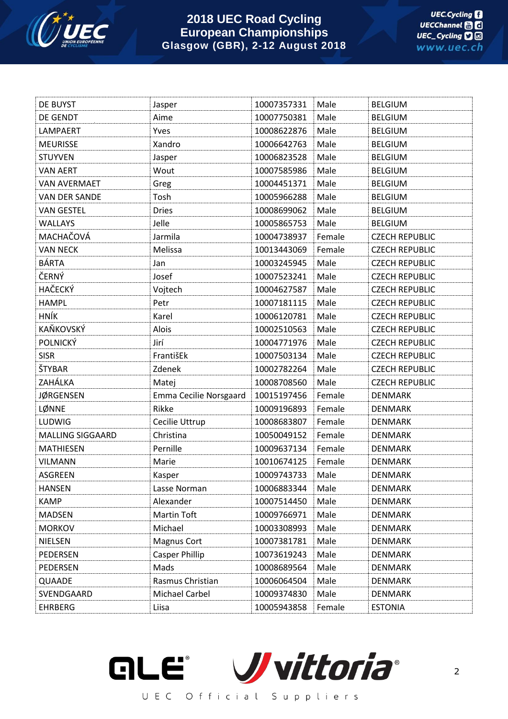

| DE BUYST                | Jasper                 | 10007357331 | Male   | <b>BELGIUM</b>        |
|-------------------------|------------------------|-------------|--------|-----------------------|
| DE GENDT                | Aime                   | 10007750381 | Male   | <b>BELGIUM</b>        |
| LAMPAERT                | Yves                   | 10008622876 | Male   | <b>BELGIUM</b>        |
| <b>MEURISSE</b>         | Xandro                 | 10006642763 | Male   | <b>BELGIUM</b>        |
| <b>STUYVEN</b>          | Jasper                 | 10006823528 | Male   | <b>BELGIUM</b>        |
| <b>VAN AERT</b>         | Wout                   | 10007585986 | Male   | <b>BELGIUM</b>        |
| <b>VAN AVERMAET</b>     | Greg                   | 10004451371 | Male   | <b>BELGIUM</b>        |
| <b>VAN DER SANDE</b>    | Tosh                   | 10005966288 | Male   | <b>BELGIUM</b>        |
| <b>VAN GESTEL</b>       | <b>Dries</b>           | 10008699062 | Male   | <b>BELGIUM</b>        |
| <b>WALLAYS</b>          | Jelle                  | 10005865753 | Male   | <b>BELGIUM</b>        |
| MACHAČOVÁ               | Jarmila                | 10004738937 | Female | <b>CZECH REPUBLIC</b> |
| <b>VAN NECK</b>         | Melissa                | 10013443069 | Female | <b>CZECH REPUBLIC</b> |
| BÁRTA                   | Jan                    | 10003245945 | Male   | <b>CZECH REPUBLIC</b> |
| ČERNÝ                   | Josef                  | 10007523241 | Male   | <b>CZECH REPUBLIC</b> |
| <b>HAČECKÝ</b>          | Vojtech                | 10004627587 | Male   | <b>CZECH REPUBLIC</b> |
| <b>HAMPL</b>            | Petr                   | 10007181115 | Male   | <b>CZECH REPUBLIC</b> |
| <b>HNÍK</b>             | Karel                  | 10006120781 | Male   | <b>CZECH REPUBLIC</b> |
| KAŇKOVSKÝ               | Alois                  | 10002510563 | Male   | <b>CZECH REPUBLIC</b> |
| POLNICKÝ                | Jirí                   | 10004771976 | Male   | <b>CZECH REPUBLIC</b> |
| <b>SISR</b>             | FrantišEk              | 10007503134 | Male   | <b>CZECH REPUBLIC</b> |
| ŠTYBAR                  | Zdenek                 | 10002782264 | Male   | <b>CZECH REPUBLIC</b> |
| ZAHÁLKA                 | Matej                  | 10008708560 | Male   | <b>CZECH REPUBLIC</b> |
| <b>JØRGENSEN</b>        | Emma Cecilie Norsgaard | 10015197456 | Female | <b>DENMARK</b>        |
| LØNNE                   | Rikke                  | 10009196893 | Female | <b>DENMARK</b>        |
| LUDWIG                  | Cecilie Uttrup         | 10008683807 | Female | <b>DENMARK</b>        |
| <b>MALLING SIGGAARD</b> | Christina              | 10050049152 | Female | <b>DENMARK</b>        |
| MATHIESEN               | Pernille               | 10009637134 | Female | <b>DENMARK</b>        |
| <b>VILMANN</b>          | Marie                  | 10010674125 | Female | <b>DENMARK</b>        |
| <b>ASGREEN</b>          | Kasper                 | 10009743733 | Male   | <b>DENMARK</b>        |
| <b>HANSEN</b>           | Lasse Norman           | 10006883344 | Male   | <b>DENMARK</b>        |
| <b>KAMP</b>             | Alexander              | 10007514450 | Male   | <b>DENMARK</b>        |
| <b>MADSEN</b>           | <b>Martin Toft</b>     | 10009766971 | Male   | <b>DENMARK</b>        |
| <b>MORKOV</b>           | Michael                | 10003308993 | Male   | <b>DENMARK</b>        |
| NIELSEN                 | <b>Magnus Cort</b>     | 10007381781 | Male   | <b>DENMARK</b>        |
| PEDERSEN                | <b>Casper Phillip</b>  | 10073619243 | Male   | <b>DENMARK</b>        |
| PEDERSEN                | Mads                   | 10008689564 | Male   | <b>DENMARK</b>        |
| QUAADE                  | Rasmus Christian       | 10006064504 | Male   | <b>DENMARK</b>        |
| SVENDGAARD              | Michael Carbel         | 10009374830 | Male   | <b>DENMARK</b>        |
| <b>EHRBERG</b>          | Liisa                  | 10005943858 | Female | <b>ESTONIA</b>        |

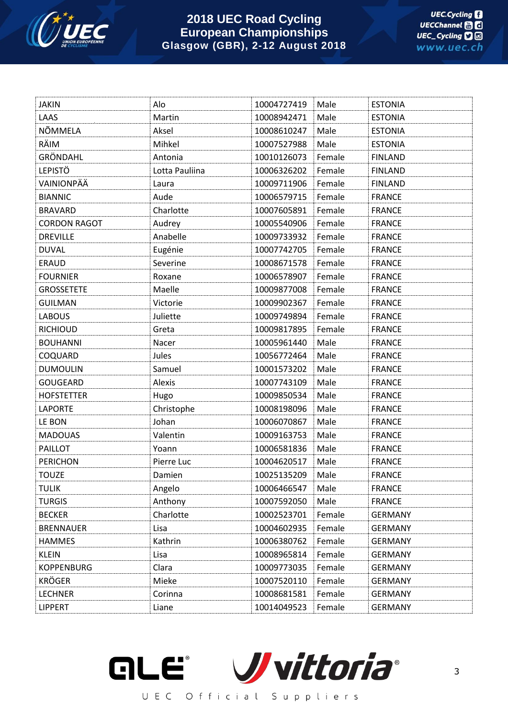

| <b>JAKIN</b>        | Alo            | 10004727419 | Male   | <b>ESTONIA</b> |
|---------------------|----------------|-------------|--------|----------------|
| LAAS                | Martin         | 10008942471 | Male   | <b>ESTONIA</b> |
| NÕMMELA             | Aksel          | 10008610247 | Male   | <b>ESTONIA</b> |
| RÄIM                | Mihkel         | 10007527988 | Male   | <b>ESTONIA</b> |
| GRÖNDAHL            | Antonia        | 10010126073 | Female | <b>FINLAND</b> |
| <b>LEPISTÖ</b>      | Lotta Pauliina | 10006326202 | Female | <b>FINLAND</b> |
| VAINIONPÄÄ          | Laura          | 10009711906 | Female | <b>FINLAND</b> |
| <b>BIANNIC</b>      | Aude           | 10006579715 | Female | <b>FRANCE</b>  |
| <b>BRAVARD</b>      | Charlotte      | 10007605891 | Female | <b>FRANCE</b>  |
| <b>CORDON RAGOT</b> | Audrey         | 10005540906 | Female | <b>FRANCE</b>  |
| <b>DREVILLE</b>     | Anabelle       | 10009733932 | Female | <b>FRANCE</b>  |
| <b>DUVAL</b>        | Eugénie        | 10007742705 | Female | <b>FRANCE</b>  |
| <b>ERAUD</b>        | Severine       | 10008671578 | Female | <b>FRANCE</b>  |
| <b>FOURNIER</b>     | Roxane         | 10006578907 | Female | <b>FRANCE</b>  |
| <b>GROSSETETE</b>   | Maelle         | 10009877008 | Female | <b>FRANCE</b>  |
| <b>GUILMAN</b>      | Victorie       | 10009902367 | Female | <b>FRANCE</b>  |
| <b>LABOUS</b>       | Juliette       | 10009749894 | Female | <b>FRANCE</b>  |
| <b>RICHIOUD</b>     | Greta          | 10009817895 | Female | <b>FRANCE</b>  |
| <b>BOUHANNI</b>     | Nacer          | 10005961440 | Male   | <b>FRANCE</b>  |
| COQUARD             | Jules          | 10056772464 | Male   | <b>FRANCE</b>  |
| <b>DUMOULIN</b>     | Samuel         | 10001573202 | Male   | <b>FRANCE</b>  |
| <b>GOUGEARD</b>     | Alexis         | 10007743109 | Male   | <b>FRANCE</b>  |
| <b>HOFSTETTER</b>   | Hugo           | 10009850534 | Male   | <b>FRANCE</b>  |
| <b>LAPORTE</b>      | Christophe     | 10008198096 | Male   | <b>FRANCE</b>  |
| LE BON              | Johan          | 10006070867 | Male   | <b>FRANCE</b>  |
| <b>MADOUAS</b>      | Valentin       | 10009163753 | Male   | <b>FRANCE</b>  |
| <b>PAILLOT</b>      | Yoann          | 10006581836 | Male   | <b>FRANCE</b>  |
| <b>PERICHON</b>     | Pierre Luc     | 10004620517 | Male   | <b>FRANCE</b>  |
| <b>TOUZE</b>        | Damien         | 10025135209 | Male   | <b>FRANCE</b>  |
| <b>TULIK</b>        | Angelo         | 10006466547 | Male   | <b>FRANCE</b>  |
| <b>TURGIS</b>       | Anthony        | 10007592050 | Male   | <b>FRANCE</b>  |
| <b>BECKER</b>       | Charlotte      | 10002523701 | Female | <b>GERMANY</b> |
| <b>BRENNAUER</b>    | Lisa           | 10004602935 | Female | <b>GERMANY</b> |
| <b>HAMMES</b>       | Kathrin        | 10006380762 | Female | <b>GERMANY</b> |
| <b>KLEIN</b>        | Lisa           | 10008965814 | Female | <b>GERMANY</b> |
| <b>KOPPENBURG</b>   | Clara          | 10009773035 | Female | <b>GERMANY</b> |
| <b>KRÖGER</b>       | Mieke          | 10007520110 | Female | <b>GERMANY</b> |
| <b>LECHNER</b>      | Corinna        | 10008681581 | Female | <b>GERMANY</b> |
| <b>LIPPERT</b>      | Liane          | 10014049523 | Female | <b>GERMANY</b> |

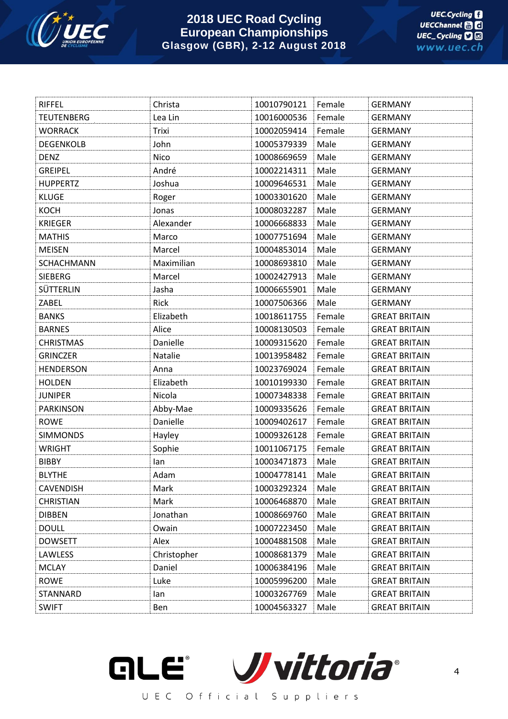

| <b>RIFFEL</b>     | Christa     | 10010790121 | Female | <b>GERMANY</b>       |
|-------------------|-------------|-------------|--------|----------------------|
| <b>TEUTENBERG</b> | Lea Lin     | 10016000536 | Female | <b>GERMANY</b>       |
| <b>WORRACK</b>    | Trixi       | 10002059414 | Female | <b>GERMANY</b>       |
| <b>DEGENKOLB</b>  | John        | 10005379339 | Male   | <b>GERMANY</b>       |
| <b>DENZ</b>       | Nico        | 10008669659 | Male   | <b>GERMANY</b>       |
| <b>GREIPEL</b>    | André       | 10002214311 | Male   | <b>GERMANY</b>       |
| <b>HUPPERTZ</b>   | Joshua      | 10009646531 | Male   | <b>GERMANY</b>       |
| <b>KLUGE</b>      | Roger       | 10003301620 | Male   | <b>GERMANY</b>       |
| <b>KOCH</b>       | Jonas       | 10008032287 | Male   | <b>GERMANY</b>       |
| <b>KRIEGER</b>    | Alexander   | 10006668833 | Male   | <b>GERMANY</b>       |
| <b>MATHIS</b>     | Marco       | 10007751694 | Male   | <b>GERMANY</b>       |
| <b>MEISEN</b>     | Marcel      | 10004853014 | Male   | <b>GERMANY</b>       |
| <b>SCHACHMANN</b> | Maximilian  | 10008693810 | Male   | <b>GERMANY</b>       |
| SIEBERG           | Marcel      | 10002427913 | Male   | <b>GERMANY</b>       |
| SÜTTERLIN         | Jasha       | 10006655901 | Male   | <b>GERMANY</b>       |
| ZABEL             | Rick        | 10007506366 | Male   | <b>GERMANY</b>       |
| <b>BANKS</b>      | Elizabeth   | 10018611755 | Female | <b>GREAT BRITAIN</b> |
| <b>BARNES</b>     | Alice       | 10008130503 | Female | <b>GREAT BRITAIN</b> |
| <b>CHRISTMAS</b>  | Danielle    | 10009315620 | Female | <b>GREAT BRITAIN</b> |
| <b>GRINCZER</b>   | Natalie     | 10013958482 | Female | <b>GREAT BRITAIN</b> |
| <b>HENDERSON</b>  | Anna        | 10023769024 | Female | <b>GREAT BRITAIN</b> |
| <b>HOLDEN</b>     | Elizabeth   | 10010199330 | Female | <b>GREAT BRITAIN</b> |
| <b>JUNIPER</b>    | Nicola      | 10007348338 | Female | <b>GREAT BRITAIN</b> |
| <b>PARKINSON</b>  | Abby-Mae    | 10009335626 | Female | <b>GREAT BRITAIN</b> |
| <b>ROWE</b>       | Danielle    | 10009402617 | Female | <b>GREAT BRITAIN</b> |
| <b>SIMMONDS</b>   | Hayley      | 10009326128 | Female | <b>GREAT BRITAIN</b> |
| <b>WRIGHT</b>     | Sophie      | 10011067175 | Female | <b>GREAT BRITAIN</b> |
| <b>BIBBY</b>      | lan         | 10003471873 | Male   | <b>GREAT BRITAIN</b> |
| <b>BLYTHE</b>     | Adam        | 10004778141 | Male   | <b>GREAT BRITAIN</b> |
| <b>CAVENDISH</b>  | Mark        | 10003292324 | Male   | <b>GREAT BRITAIN</b> |
| <b>CHRISTIAN</b>  | Mark        | 10006468870 | Male   | <b>GREAT BRITAIN</b> |
| <b>DIBBEN</b>     | Jonathan    | 10008669760 | Male   | <b>GREAT BRITAIN</b> |
| <b>DOULL</b>      | Owain       | 10007223450 | Male   | <b>GREAT BRITAIN</b> |
| <b>DOWSETT</b>    | Alex        | 10004881508 | Male   | <b>GREAT BRITAIN</b> |
| LAWLESS           | Christopher | 10008681379 | Male   | <b>GREAT BRITAIN</b> |
| <b>MCLAY</b>      | Daniel      | 10006384196 | Male   | <b>GREAT BRITAIN</b> |
| <b>ROWE</b>       | Luke        | 10005996200 | Male   | <b>GREAT BRITAIN</b> |
| STANNARD          | lan         | 10003267769 | Male   | <b>GREAT BRITAIN</b> |
| <b>SWIFT</b>      | Ben         | 10004563327 | Male   | <b>GREAT BRITAIN</b> |

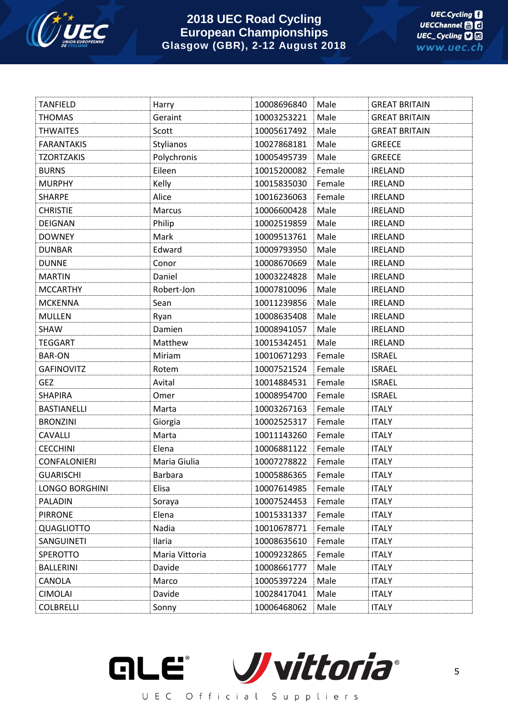

| <b>TANFIELD</b>     | Harry          | 10008696840 | Male   | <b>GREAT BRITAIN</b> |
|---------------------|----------------|-------------|--------|----------------------|
| <b>THOMAS</b>       | Geraint        | 10003253221 | Male   | <b>GREAT BRITAIN</b> |
| <b>THWAITES</b>     | Scott          | 10005617492 | Male   | <b>GREAT BRITAIN</b> |
| <b>FARANTAKIS</b>   | Stylianos      | 10027868181 | Male   | <b>GREECE</b>        |
| <b>TZORTZAKIS</b>   | Polychronis    | 10005495739 | Male   | <b>GREECE</b>        |
| <b>BURNS</b>        | Eileen         | 10015200082 | Female | <b>IRELAND</b>       |
| <b>MURPHY</b>       | Kelly          | 10015835030 | Female | <b>IRELAND</b>       |
| <b>SHARPE</b>       | Alice          | 10016236063 | Female | <b>IRELAND</b>       |
| <b>CHRISTIE</b>     | Marcus         | 10006600428 | Male   | <b>IRELAND</b>       |
| DEIGNAN             | Philip         | 10002519859 | Male   | <b>IRELAND</b>       |
| <b>DOWNEY</b>       | Mark           | 10009513761 | Male   | <b>IRELAND</b>       |
| <b>DUNBAR</b>       | Edward         | 10009793950 | Male   | <b>IRELAND</b>       |
| <b>DUNNE</b>        | Conor          | 10008670669 | Male   | <b>IRELAND</b>       |
| <b>MARTIN</b>       | Daniel         | 10003224828 | Male   | <b>IRELAND</b>       |
| <b>MCCARTHY</b>     | Robert-Jon     | 10007810096 | Male   | <b>IRELAND</b>       |
| <b>MCKENNA</b>      | Sean           | 10011239856 | Male   | <b>IRELAND</b>       |
| <b>MULLEN</b>       | Ryan           | 10008635408 | Male   | <b>IRELAND</b>       |
| SHAW                | Damien         | 10008941057 | Male   | <b>IRELAND</b>       |
| <b>TEGGART</b>      | Matthew        | 10015342451 | Male   | <b>IRELAND</b>       |
| <b>BAR-ON</b>       | Miriam         | 10010671293 | Female | <b>ISRAEL</b>        |
| <b>GAFINOVITZ</b>   | Rotem          | 10007521524 | Female | <b>ISRAEL</b>        |
| <b>GEZ</b>          | Avital         | 10014884531 | Female | <b>ISRAEL</b>        |
| <b>SHAPIRA</b>      | Omer           | 10008954700 | Female | <b>ISRAEL</b>        |
| <b>BASTIANELLI</b>  | Marta          | 10003267163 | Female | <b>ITALY</b>         |
| <b>BRONZINI</b>     | Giorgia        | 10002525317 | Female | <b>ITALY</b>         |
| CAVALLI             | Marta          | 10011143260 | Female | <b>ITALY</b>         |
| <b>CECCHINI</b>     | Elena          | 10006881122 | Female | <b>ITALY</b>         |
| <b>CONFALONIERI</b> | Maria Giulia   | 10007278822 | Female | <b>ITALY</b>         |
| <b>GUARISCHI</b>    | <b>Barbara</b> | 10005886365 | Female | <b>ITALY</b>         |
| LONGO BORGHINI      | Elisa          | 10007614985 | Female | <b>ITALY</b>         |
| PALADIN             | Soraya         | 10007524453 | Female | <b>ITALY</b>         |
| <b>PIRRONE</b>      | Elena          | 10015331337 | Female | <b>ITALY</b>         |
| <b>QUAGLIOTTO</b>   | Nadia          | 10010678771 | Female | <b>ITALY</b>         |
| SANGUINETI          | Ilaria         | 10008635610 | Female | <b>ITALY</b>         |
| SPEROTTO            | Maria Vittoria | 10009232865 | Female | <b>ITALY</b>         |
| <b>BALLERINI</b>    | Davide         | 10008661777 | Male   | <b>ITALY</b>         |
| CANOLA              | Marco          | 10005397224 | Male   | <b>ITALY</b>         |
| CIMOLAI             | Davide         | 10028417041 | Male   | <b>ITALY</b>         |
| <b>COLBRELLI</b>    | Sonny          | 10006468062 | Male   | <b>ITALY</b>         |

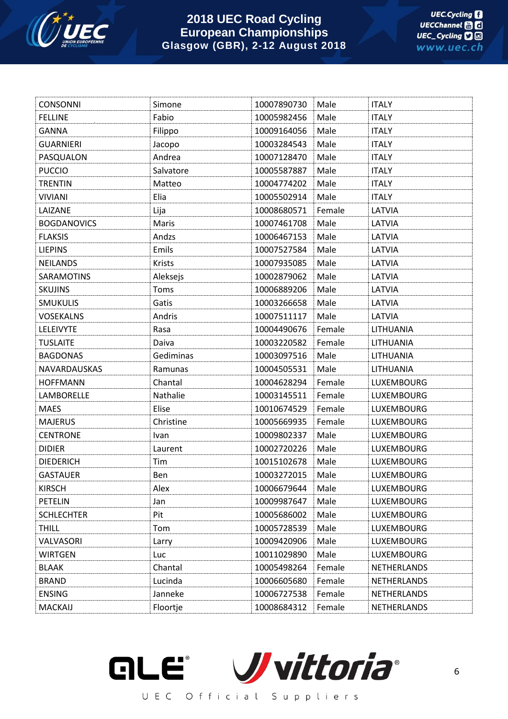

| <b>CONSONNI</b>    | Simone        | 10007890730 | Male   | <b>ITALY</b>       |
|--------------------|---------------|-------------|--------|--------------------|
| <b>FELLINE</b>     | Fabio         | 10005982456 | Male   | <b>ITALY</b>       |
| <b>GANNA</b>       | Filippo       | 10009164056 | Male   | <b>ITALY</b>       |
| <b>GUARNIERI</b>   | Jacopo        | 10003284543 | Male   | <b>ITALY</b>       |
| PASQUALON          | Andrea        | 10007128470 | Male   | <b>ITALY</b>       |
| <b>PUCCIO</b>      | Salvatore     | 10005587887 | Male   | <b>ITALY</b>       |
| <b>TRENTIN</b>     | Matteo        | 10004774202 | Male   | <b>ITALY</b>       |
| <b>VIVIANI</b>     | Elia          | 10005502914 | Male   | <b>ITALY</b>       |
| LAIZANE            | Lija          | 10008680571 | Female | LATVIA             |
| <b>BOGDANOVICS</b> | Maris         | 10007461708 | Male   | LATVIA             |
| <b>FLAKSIS</b>     | Andzs         | 10006467153 | Male   | LATVIA             |
| <b>LIEPINS</b>     | Emils         | 10007527584 | Male   | LATVIA             |
| <b>NEILANDS</b>    | <b>Krists</b> | 10007935085 | Male   | LATVIA             |
| <b>SARAMOTINS</b>  | Aleksejs      | 10002879062 | Male   | LATVIA             |
| <b>SKUJINS</b>     | Toms          | 10006889206 | Male   | LATVIA             |
| <b>SMUKULIS</b>    | Gatis         | 10003266658 | Male   | LATVIA             |
| <b>VOSEKALNS</b>   | Andris        | 10007511117 | Male   | LATVIA             |
| <b>LELEIVYTE</b>   | Rasa          | 10004490676 | Female | LITHUANIA          |
| <b>TUSLAITE</b>    | Daiva         | 10003220582 | Female | LITHUANIA          |
| <b>BAGDONAS</b>    | Gediminas     | 10003097516 | Male   | LITHUANIA          |
| NAVARDAUSKAS       | Ramunas       | 10004505531 | Male   | LITHUANIA          |
| <b>HOFFMANN</b>    | Chantal       | 10004628294 | Female | <b>LUXEMBOURG</b>  |
| LAMBORELLE         | Nathalie      | 10003145511 | Female | <b>LUXEMBOURG</b>  |
| <b>MAES</b>        | Elise         | 10010674529 | Female | <b>LUXEMBOURG</b>  |
| <b>MAJERUS</b>     | Christine     | 10005669935 | Female | <b>LUXEMBOURG</b>  |
| <b>CENTRONE</b>    | Ivan          | 10009802337 | Male   | LUXEMBOURG         |
| <b>DIDIER</b>      | Laurent       | 10002720226 | Male   | <b>LUXEMBOURG</b>  |
| <b>DIEDERICH</b>   | Tim           | 10015102678 | Male   | <b>LUXEMBOURG</b>  |
| <b>GASTAUER</b>    | Ben           | 10003272015 | Male   | <b>LUXEMBOURG</b>  |
| <b>KIRSCH</b>      | Alex          | 10006679644 | Male   | LUXEMBOURG         |
| <b>PETELIN</b>     | Jan           | 10009987647 | Male   | <b>LUXEMBOURG</b>  |
| <b>SCHLECHTER</b>  | Pit           | 10005686002 | Male   | <b>LUXEMBOURG</b>  |
| <b>THILL</b>       | Tom           | 10005728539 | Male   | <b>LUXEMBOURG</b>  |
| VALVASORI          | Larry         | 10009420906 | Male   | <b>LUXEMBOURG</b>  |
| <b>WIRTGEN</b>     | Luc           | 10011029890 | Male   | <b>LUXEMBOURG</b>  |
| <b>BLAAK</b>       | Chantal       | 10005498264 | Female | <b>NETHERLANDS</b> |
| <b>BRAND</b>       | Lucinda       | 10006605680 | Female | NETHERLANDS        |
| <b>ENSING</b>      | Janneke       | 10006727538 | Female | NETHERLANDS        |
| MACKAIJ            | Floortje      | 10008684312 | Female | NETHERLANDS        |

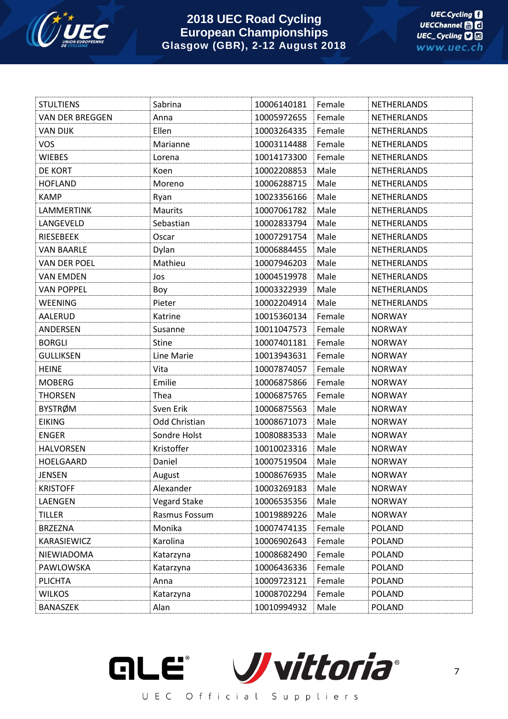

| <b>STULTIENS</b>       | Sabrina             | 10006140181 | Female | NETHERLANDS        |
|------------------------|---------------------|-------------|--------|--------------------|
| <b>VAN DER BREGGEN</b> | Anna                | 10005972655 | Female | <b>NETHERLANDS</b> |
| <b>VAN DIJK</b>        | Ellen               | 10003264335 | Female | NETHERLANDS        |
| <b>VOS</b>             | Marianne            | 10003114488 | Female | NETHERLANDS        |
| <b>WIEBES</b>          | Lorena              | 10014173300 | Female | <b>NETHERLANDS</b> |
| DE KORT                | Koen                | 10002208853 | Male   | <b>NETHERLANDS</b> |
| <b>HOFLAND</b>         | Moreno              | 10006288715 | Male   | <b>NETHERLANDS</b> |
| <b>KAMP</b>            | Ryan                | 10023356166 | Male   | <b>NETHERLANDS</b> |
| LAMMERTINK             | <b>Maurits</b>      | 10007061782 | Male   | <b>NETHERLANDS</b> |
| LANGEVELD              | Sebastian           | 10002833794 | Male   | NETHERLANDS        |
| <b>RIESEBEEK</b>       | Oscar               | 10007291754 | Male   | NETHERLANDS        |
| <b>VAN BAARLE</b>      | Dylan               | 10006884455 | Male   | <b>NETHERLANDS</b> |
| VAN DER POEL           | Mathieu             | 10007946203 | Male   | <b>NETHERLANDS</b> |
| <b>VAN EMDEN</b>       | Jos                 | 10004519978 | Male   | NETHERLANDS        |
| <b>VAN POPPEL</b>      | Boy                 | 10003322939 | Male   | <b>NETHERLANDS</b> |
| <b>WEENING</b>         | Pieter              | 10002204914 | Male   | <b>NETHERLANDS</b> |
| AALERUD                | Katrine             | 10015360134 | Female | <b>NORWAY</b>      |
| ANDERSEN               | Susanne             | 10011047573 | Female | <b>NORWAY</b>      |
| <b>BORGLI</b>          | <b>Stine</b>        | 10007401181 | Female | <b>NORWAY</b>      |
| <b>GULLIKSEN</b>       | Line Marie          | 10013943631 | Female | <b>NORWAY</b>      |
| <b>HEINE</b>           | Vita                | 10007874057 | Female | <b>NORWAY</b>      |
| <b>MOBERG</b>          | Emilie              | 10006875866 | Female | <b>NORWAY</b>      |
| <b>THORSEN</b>         | Thea                | 10006875765 | Female | <b>NORWAY</b>      |
| <b>BYSTRØM</b>         | Sven Erik           | 10006875563 | Male   | <b>NORWAY</b>      |
| <b>EIKING</b>          | Odd Christian       | 10008671073 | Male   | <b>NORWAY</b>      |
| <b>ENGER</b>           | Sondre Holst        | 10080883533 | Male   | <b>NORWAY</b>      |
| <b>HALVORSEN</b>       | Kristoffer          | 10010023316 | Male   | <b>NORWAY</b>      |
| HOELGAARD              | Daniel              | 10007519504 | Male   | <b>NORWAY</b>      |
| <b>JENSEN</b>          | August              | 10008676935 | Male   | <b>NORWAY</b>      |
| <b>KRISTOFF</b>        | Alexander           | 10003269183 | Male   | <b>NORWAY</b>      |
| LAENGEN                | <b>Vegard Stake</b> | 10006535356 | Male   | <b>NORWAY</b>      |
| <b>TILLER</b>          | Rasmus Fossum       | 10019889226 | Male   | <b>NORWAY</b>      |
| <b>BRZEZNA</b>         | Monika              | 10007474135 | Female | <b>POLAND</b>      |
| KARASIEWICZ            | Karolina            | 10006902643 | Female | <b>POLAND</b>      |
| NIEWIADOMA             | Katarzyna           | 10008682490 | Female | <b>POLAND</b>      |
| PAWLOWSKA              | Katarzyna           | 10006436336 | Female | POLAND             |
| <b>PLICHTA</b>         | Anna                | 10009723121 | Female | <b>POLAND</b>      |
| <b>WILKOS</b>          | Katarzyna           | 10008702294 | Female | <b>POLAND</b>      |
| <b>BANASZEK</b>        | Alan                | 10010994932 | Male   | <b>POLAND</b>      |

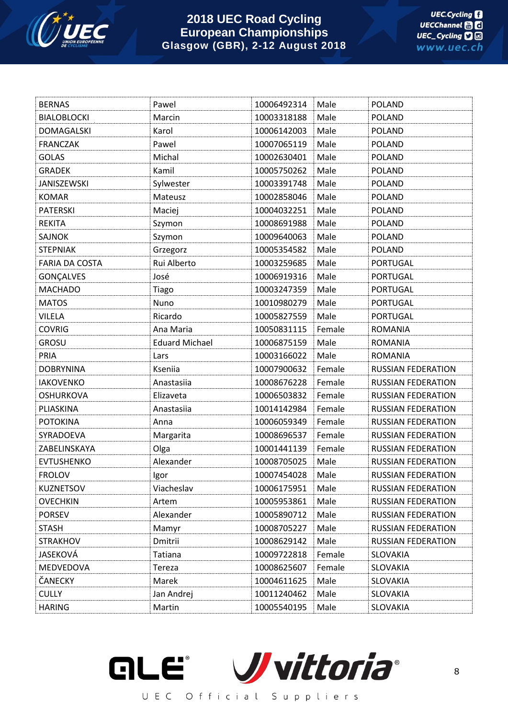

| <b>BERNAS</b>         | Pawel                 | 10006492314 | Male   | <b>POLAND</b>             |
|-----------------------|-----------------------|-------------|--------|---------------------------|
| <b>BIALOBLOCKI</b>    | Marcin                | 10003318188 | Male   | <b>POLAND</b>             |
| <b>DOMAGALSKI</b>     | Karol                 | 10006142003 | Male   | <b>POLAND</b>             |
| <b>FRANCZAK</b>       | Pawel                 | 10007065119 | Male   | <b>POLAND</b>             |
| <b>GOLAS</b>          | Michal                | 10002630401 | Male   | <b>POLAND</b>             |
| <b>GRADEK</b>         | Kamil                 | 10005750262 | Male   | <b>POLAND</b>             |
| JANISZEWSKI           | Sylwester             | 10003391748 | Male   | <b>POLAND</b>             |
| <b>KOMAR</b>          | Mateusz               | 10002858046 | Male   | <b>POLAND</b>             |
| <b>PATERSKI</b>       | Maciej                | 10004032251 | Male   | <b>POLAND</b>             |
| <b>REKITA</b>         | Szymon                | 10008691988 | Male   | <b>POLAND</b>             |
| <b>SAJNOK</b>         | Szymon                | 10009640063 | Male   | <b>POLAND</b>             |
| <b>STEPNIAK</b>       | Grzegorz              | 10005354582 | Male   | <b>POLAND</b>             |
| <b>FARIA DA COSTA</b> | Rui Alberto           | 10003259685 | Male   | <b>PORTUGAL</b>           |
| GONÇALVES             | José                  | 10006919316 | Male   | <b>PORTUGAL</b>           |
| <b>MACHADO</b>        | Tiago                 | 10003247359 | Male   | <b>PORTUGAL</b>           |
| <b>MATOS</b>          | Nuno                  | 10010980279 | Male   | <b>PORTUGAL</b>           |
| <b>VILELA</b>         | Ricardo               | 10005827559 | Male   | <b>PORTUGAL</b>           |
| <b>COVRIG</b>         | Ana Maria             | 10050831115 | Female | <b>ROMANIA</b>            |
| <b>GROSU</b>          | <b>Eduard Michael</b> | 10006875159 | Male   | <b>ROMANIA</b>            |
| PRIA                  | Lars                  | 10003166022 | Male   | <b>ROMANIA</b>            |
| <b>DOBRYNINA</b>      | Kseniia               | 10007900632 | Female | <b>RUSSIAN FEDERATION</b> |
| <b>IAKOVENKO</b>      | Anastasiia            | 10008676228 | Female | <b>RUSSIAN FEDERATION</b> |
| <b>OSHURKOVA</b>      | Elizaveta             | 10006503832 | Female | <b>RUSSIAN FEDERATION</b> |
| PLIASKINA             | Anastasiia            | 10014142984 | Female | <b>RUSSIAN FEDERATION</b> |
| <b>POTOKINA</b>       | Anna                  | 10006059349 | Female | <b>RUSSIAN FEDERATION</b> |
| SYRADOEVA             | Margarita             | 10008696537 | Female | <b>RUSSIAN FEDERATION</b> |
| ZABELINSKAYA          | Olga                  | 10001441139 | Female | <b>RUSSIAN FEDERATION</b> |
| <b>EVTUSHENKO</b>     | Alexander             | 10008705025 | Male   | <b>RUSSIAN FEDERATION</b> |
| <b>FROLOV</b>         | Igor                  | 10007454028 | Male   | <b>RUSSIAN FEDERATION</b> |
| <b>KUZNETSOV</b>      | Viacheslav            | 10006175951 | Male   | <b>RUSSIAN FEDERATION</b> |
| <b>OVECHKIN</b>       | Artem                 | 10005953861 | Male   | RUSSIAN FEDERATION        |
| <b>PORSEV</b>         | Alexander             | 10005890712 | Male   | <b>RUSSIAN FEDERATION</b> |
| <b>STASH</b>          | Mamyr                 | 10008705227 | Male   | <b>RUSSIAN FEDERATION</b> |
| <b>STRAKHOV</b>       | Dmitrii               | 10008629142 | Male   | <b>RUSSIAN FEDERATION</b> |
| JASEKOVÁ              | Tatiana               | 10009722818 | Female | <b>SLOVAKIA</b>           |
| MEDVEDOVA             | Tereza                | 10008625607 | Female | SLOVAKIA                  |
| ČANECKY               | Marek                 | 10004611625 | Male   | <b>SLOVAKIA</b>           |
| <b>CULLY</b>          | Jan Andrej            | 10011240462 | Male   | SLOVAKIA                  |
| <b>HARING</b>         | Martin                | 10005540195 | Male   | SLOVAKIA                  |

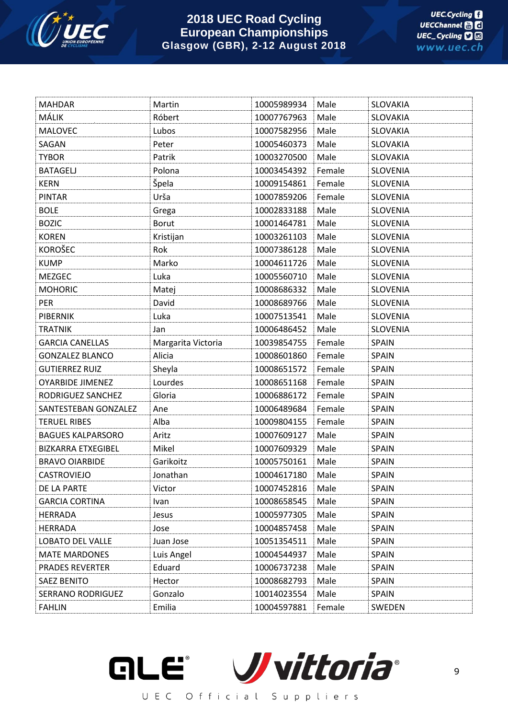

| <b>MAHDAR</b>             | Martin             | 10005989934 | Male   | SLOVAKIA        |
|---------------------------|--------------------|-------------|--------|-----------------|
| MÁLIK                     | Róbert             | 10007767963 | Male   | SLOVAKIA        |
| <b>MALOVEC</b>            | Lubos              | 10007582956 | Male   | SLOVAKIA        |
| SAGAN                     | Peter              | 10005460373 | Male   | SLOVAKIA        |
| <b>TYBOR</b>              | Patrik             | 10003270500 | Male   | SLOVAKIA        |
| <b>BATAGELJ</b>           | Polona             | 10003454392 | Female | <b>SLOVENIA</b> |
| <b>KERN</b>               | Špela              | 10009154861 | Female | <b>SLOVENIA</b> |
| PINTAR                    | Urša               | 10007859206 | Female | <b>SLOVENIA</b> |
| <b>BOLE</b>               | Grega              | 10002833188 | Male   | <b>SLOVENIA</b> |
| <b>BOZIC</b>              | Borut              | 10001464781 | Male   | <b>SLOVENIA</b> |
| <b>KOREN</b>              | Kristijan          | 10003261103 | Male   | <b>SLOVENIA</b> |
| <b>KOROŠEC</b>            | Rok                | 10007386128 | Male   | <b>SLOVENIA</b> |
| <b>KUMP</b>               | Marko              | 10004611726 | Male   | <b>SLOVENIA</b> |
| <b>MEZGEC</b>             | Luka               | 10005560710 | Male   | <b>SLOVENIA</b> |
| <b>MOHORIC</b>            | Matej              | 10008686332 | Male   | <b>SLOVENIA</b> |
| <b>PER</b>                | David              | 10008689766 | Male   | <b>SLOVENIA</b> |
| <b>PIBERNIK</b>           | Luka               | 10007513541 | Male   | <b>SLOVENIA</b> |
| <b>TRATNIK</b>            | Jan                | 10006486452 | Male   | <b>SLOVENIA</b> |
| <b>GARCIA CANELLAS</b>    | Margarita Victoria | 10039854755 | Female | <b>SPAIN</b>    |
| <b>GONZALEZ BLANCO</b>    | Alicia             | 10008601860 | Female | <b>SPAIN</b>    |
| <b>GUTIERREZ RUIZ</b>     | Sheyla             | 10008651572 | Female | <b>SPAIN</b>    |
| <b>OYARBIDE JIMENEZ</b>   | Lourdes            | 10008651168 | Female | <b>SPAIN</b>    |
| RODRIGUEZ SANCHEZ         | Gloria             | 10006886172 | Female | <b>SPAIN</b>    |
| SANTESTEBAN GONZALEZ      | Ane                | 10006489684 | Female | <b>SPAIN</b>    |
| <b>TERUEL RIBES</b>       | Alba               | 10009804155 | Female | <b>SPAIN</b>    |
| <b>BAGUES KALPARSORO</b>  | Aritz              | 10007609127 | Male   | <b>SPAIN</b>    |
| <b>BIZKARRA ETXEGIBEL</b> | Mikel              | 10007609329 | Male   | <b>SPAIN</b>    |
| <b>BRAVO OIARBIDE</b>     | Garikoitz          | 10005750161 | Male   | <b>SPAIN</b>    |
| <b>CASTROVIEJO</b>        | Jonathan           | 10004617180 | Male   | <b>SPAIN</b>    |
| DE LA PARTE               | Victor             | 10007452816 | Male   | <b>SPAIN</b>    |
| <b>GARCIA CORTINA</b>     | Ivan               | 10008658545 | Male   | <b>SPAIN</b>    |
| HERRADA                   | Jesus              | 10005977305 | Male   | <b>SPAIN</b>    |
| HERRADA                   | Jose               | 10004857458 | Male   | <b>SPAIN</b>    |
| LOBATO DEL VALLE          | Juan Jose          | 10051354511 | Male   | <b>SPAIN</b>    |
| <b>MATE MARDONES</b>      | Luis Angel         | 10004544937 | Male   | <b>SPAIN</b>    |
| <b>PRADES REVERTER</b>    | Eduard             | 10006737238 | Male   | <b>SPAIN</b>    |
| <b>SAEZ BENITO</b>        | Hector             | 10008682793 | Male   | <b>SPAIN</b>    |
| <b>SERRANO RODRIGUEZ</b>  | Gonzalo            | 10014023554 | Male   | <b>SPAIN</b>    |
| <b>FAHLIN</b>             | Emilia             | 10004597881 | Female | SWEDEN          |